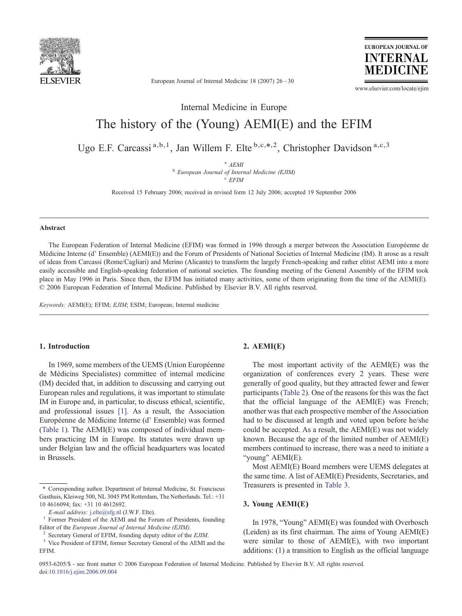

European Journal of Internal Medicine 18 (2007) 26–30

www.elsevier.com/locate/ejim

**EUROPEAN JOURNAL OF INTERNAL** MEDICINE

Internal Medicine in Europe

# The history of the (Young) AEMI(E) and the EFIM

Ugo E.F. Carcassi<sup>a,b,1</sup>, Jan Willem F. Elte <sup>b,c,\*,2</sup>, Christopher Davidson<sup>a,c,3</sup>

 $AEMI$ <sup>b</sup> European Journal of Internal Medicine (EJIM)  $c$   $EFIM$ 

Received 15 February 2006; received in revised form 12 July 2006; accepted 19 September 2006

## Abstract

The European Federation of Internal Medicine (EFIM) was formed in 1996 through a merger between the Association Européenne de Médicine Interne (d' Ensemble) (AEMI(E)) and the Forum of Presidents of National Societies of Internal Medicine (IM). It arose as a result of ideas from Carcassi (Rome/Cagliari) and Merino (Alicante) to transform the largely French-speaking and rather elitist AEMI into a more easily accessible and English-speaking federation of national societies. The founding meeting of the General Assembly of the EFIM took place in May 1996 in Paris. Since then, the EFIM has initiated many activities, some of them originating from the time of the AEMI(E). © 2006 European Federation of Internal Medicine. Published by Elsevier B.V. All rights reserved.

Keywords: AEMI(E); EFIM; EJIM; ESIM; European; Internal medicine

# 1. Introduction

In 1969, some members of the UEMS (Union Européenne de Médicins Specialistes) committee of internal medicine (IM) decided that, in addition to discussing and carrying out European rules and regulations, it was important to stimulate IM in Europe and, in particular, to discuss ethical, scientific, and professional issues [\[1\].](#page-4-0) As a result, the Association Européenne de Médicine Interne (d' Ensemble) was formed ([Table 1\)](#page-1-0). The AEMI(E) was composed of individual members practicing IM in Europe. Its statutes were drawn up under Belgian law and the official headquarters was located in Brussels.

# 2. AEMI(E)

The most important activity of the AEMI(E) was the organization of conferences every 2 years. These were generally of good quality, but they attracted fewer and fewer participants ([Table 2\)](#page-1-0). One of the reasons for this was the fact that the official language of the AEMI(E) was French; another was that each prospective member of the Association had to be discussed at length and voted upon before he/she could be accepted. As a result, the AEMI(E) was not widely known. Because the age of the limited number of AEMI(E) members continued to increase, there was a need to initiate a "young" AEMI(E).

Most AEMI(E) Board members were UEMS delegates at the same time. A list of AEMI(E) Presidents, Secretaries, and Treasurers is presented in [Table 3.](#page-1-0)

## 3. Young AEMI(E)

In 1978, "Young" AEMI(E) was founded with Overbosch (Leiden) as its first chairman. The aims of Young AEMI(E) were similar to those of AEMI(E), with two important additions: (1) a transition to English as the official language

0953-6205/\$ - see front matter © 2006 European Federation of Internal Medicine. Published by Elsevier B.V. All rights reserved. doi[:10.1016/j.ejim.2006.09.004](http://dx.doi.org/10.1016/j.ejim.2006.09.004)

<sup>⁎</sup> Corresponding author. Department of Internal Medicine, St. Franciscus Gasthuis, Kleiweg 500, NL 3045 PM Rotterdam, The Netherlands. Tel.: +31 10 4616094; fax: +31 10 4612692.

 $E$ -mail address: [j.elte@sfg.nl](mailto:j.elte@sfg.nl) (J.W.F. Elte).<br><sup>1</sup> Former President of the AEMI and the Forum of Presidents, founding Editor of the *European Journal of Internal Medicine (EJIM)*.<br><sup>2</sup> Secretary General of EFIM, founding deputy editor of the *EJIM*.<br><sup>3</sup> Vice President of EFIM, former Secretary General of the AEMI and the

EFIM.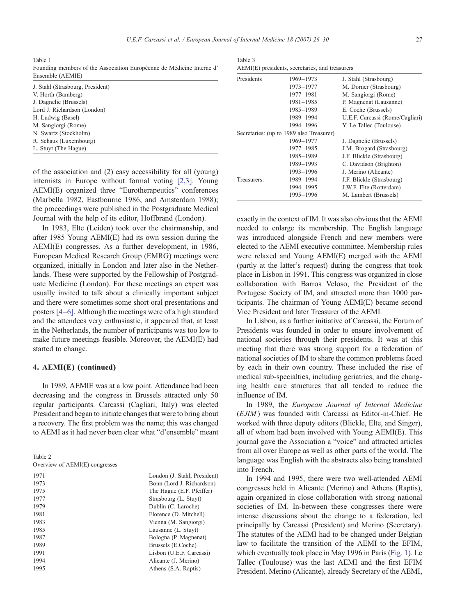U.E.F. Carcassi et al. / European Journal of Internal Medicine 18 (2007) 26–30 27

<span id="page-1-0"></span>Table 1 Founding members of the Association Européenne de Médicine Interne d' Ensemble (AEMIE)

| J. Stahl (Strasbourg, President) |
|----------------------------------|
| V. Horth (Bamberg)               |
| J. Dagnelie (Brussels)           |
| Lord J. Richardson (London)      |
| H. Ludwig (Basel)                |
| M. Sangiorgi (Rome)              |
| N. Swartz (Stockholm)            |
| R. Schaus (Luxembourg)           |
| L. Stuyt (The Hague)             |

of the association and (2) easy accessibility for all (young) internists in Europe without formal voting [\[2,3\].](#page-4-0) Young AEMI(E) organized three "Eurotherapeutics" conferences (Marbella 1982, Eastbourne 1986, and Amsterdam 1988); the proceedings were published in the Postgraduate Medical Journal with the help of its editor, Hoffbrand (London).

In 1983, Elte (Leiden) took over the chairmanship, and after 1985 Young AEMI(E) had its own session during the AEMI(E) congresses. As a further development, in 1986, European Medical Research Group (EMRG) meetings were organized, initially in London and later also in the Netherlands. These were supported by the Fellowship of Postgraduate Medicine (London). For these meetings an expert was usually invited to talk about a clinically important subject and there were sometimes some short oral presentations and posters [4–[6\].](#page-4-0) Although the meetings were of a high standard and the attendees very enthusiastic, it appeared that, at least in the Netherlands, the number of participants was too low to make future meetings feasible. Moreover, the AEMI(E) had started to change.

## 4. AEMI(E) (continued)

In 1989, AEMIE was at a low point. Attendance had been decreasing and the congress in Brussels attracted only 50 regular participants. Carcassi (Cagliari, Italy) was elected President and began to initiate changes that were to bring about a recovery. The first problem was the name; this was changed to AEMI as it had never been clear what "d'ensemble" meant

| $1$ ave $\angle$ |  |  |                                |  |
|------------------|--|--|--------------------------------|--|
|                  |  |  | Overview of AEMI(E) congresses |  |

 $T_2$ **L**<sub>2</sub> 2

| London (J. Stahl, President) |
|------------------------------|
| Bonn (Lord J. Richardson)    |
| The Hague (E.F. Pfeiffer)    |
| Strasbourg (L. Stuyt)        |
| Dublin (C. Laroche)          |
| Florence (D. Mitchell)       |
| Vienna (M. Sangiorgi)        |
| Lausanne (L. Stuyt)          |
| Bologna (P. Magnenat)        |
| Brussels (E.Coche)           |
| Lisbon (U.E.F. Carcassi)     |
| Alicante (J. Merino)         |
| Athens (S.A. Raptis)         |
|                              |

Table 3 AEMI(E) presidents, secretaries, and treasurers

| Presidents  | 1969–1973                                | J. Stahl (Strasbourg)           |
|-------------|------------------------------------------|---------------------------------|
|             | 1973-1977                                | M. Dorner (Strasbourg)          |
|             | 1977-1981                                | M. Sangiorgi (Rome)             |
|             | $1981 - 1985$                            | P. Magnenat (Lausanne)          |
|             | 1985-1989                                | E. Coche (Brussels)             |
|             | 1989-1994                                | U.E.F. Carcassi (Rome/Cagliari) |
|             | 1994-1996                                | Y. Le Tallec (Toulouse)         |
|             | Secretaries: (up to 1989 also Treasurer) |                                 |
|             | 1969-1977                                | J. Dagnelie (Brussels)          |
|             | 1977-1985                                | J.M. Brogard (Strasbourg)       |
|             | 1985-1989                                | J.F. Blickle (Strasbourg)       |
|             | 1989-1993                                | C. Davidson (Brighton)          |
|             | 1993-1996                                | J. Merino (Alicante)            |
| Treasurers: | 1989-1994                                | J.F. Blickle (Strasbourg)       |
|             | 1994-1995                                | J.W.F. Elte (Rotterdam)         |
|             | 1995-1996                                | M. Lambert (Brussels)           |

exactly in the context of IM. It was also obvious that the AEMI needed to enlarge its membership. The English language was introduced alongside French and new members were elected to the AEMI executive committee. Membership rules were relaxed and Young AEMI(E) merged with the AEMI (partly at the latter's request) during the congress that took place in Lisbon in 1991. This congress was organized in close collaboration with Barros Veloso, the President of the Portugese Society of IM, and attracted more than 1000 participants. The chairman of Young AEMI(E) became second Vice President and later Treasurer of the AEMI.

In Lisbon, as a further initiative of Carcassi, the Forum of Presidents was founded in order to ensure involvement of national societies through their presidents. It was at this meeting that there was strong support for a federation of national societies of IM to share the common problems faced by each in their own country. These included the rise of medical sub-specialties, including geriatrics, and the changing health care structures that all tended to reduce the influence of IM.

In 1989, the European Journal of Internal Medicine  $(EJIM)$  was founded with Carcassi as Editor-in-Chief. He worked with three deputy editors (Blickle, Elte, and Singer), all of whom had been involved with Young AEMI(E). This journal gave the Association a "voice" and attracted articles from all over Europe as well as other parts of the world. The language was English with the abstracts also being translated into French.

In 1994 and 1995, there were two well-attended AEMI congresses held in Alicante (Merino) and Athens (Raptis), again organized in close collaboration with strong national societies of IM. In-between these congresses there were intense discussions about the change to a federation, led principally by Carcassi (President) and Merino (Secretary). The statutes of the AEMI had to be changed under Belgian law to facilitate the transition of the AEMI to the EFIM, which eventually took place in May 1996 in Paris ([Fig. 1](#page-2-0)). Le Tallec (Toulouse) was the last AEMI and the first EFIM President. Merino (Alicante), already Secretary of the AEMI,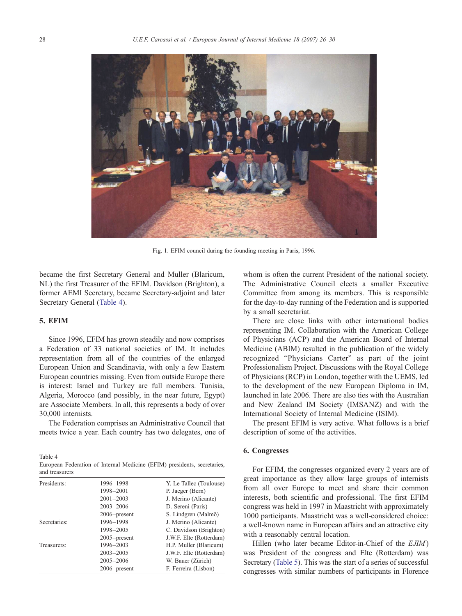<span id="page-2-0"></span>

Fig. 1. EFIM council during the founding meeting in Paris, 1996.

became the first Secretary General and Muller (Blaricum, NL) the first Treasurer of the EFIM. Davidson (Brighton), a former AEMI Secretary, became Secretary-adjoint and later Secretary General (Table 4).

## 5. EFIM

Since 1996, EFIM has grown steadily and now comprises a Federation of 33 national societies of IM. It includes representation from all of the countries of the enlarged European Union and Scandinavia, with only a few Eastern European countries missing. Even from outside Europe there is interest: Israel and Turkey are full members. Tunisia, Algeria, Morocco (and possibly, in the near future, Egypt) are Associate Members. In all, this represents a body of over 30,000 internists.

The Federation comprises an Administrative Council that meets twice a year. Each country has two delegates, one of

Table 4

European Federation of Internal Medicine (EFIM) presidents, secretaries, and treasurers

| Presidents:  | 1996-1998       | Y. Le Tallec (Toulouse) |
|--------------|-----------------|-------------------------|
|              | 1998-2001       | P. Jaeger (Bern)        |
|              | $2001 - 2003$   | J. Merino (Alicante)    |
|              | $2003 - 2006$   | D. Sereni (Paris)       |
|              | $2006$ -present | S. Lindgren (Malmö)     |
| Secretaries: | 1996-1998       | J. Merino (Alicante)    |
|              | 1998-2005       | C. Davidson (Brighton)  |
|              | $2005$ -present | J.W.F. Elte (Rotterdam) |
| Treasurers:  | 1996-2003       | H.P. Muller (Blaricum)  |
|              | $2003 - 2005$   | J.W.F. Elte (Rotterdam) |
|              | $2005 - 2006$   | W. Bauer (Zürich)       |
|              | $2006$ -present | F. Ferreira (Lisbon)    |

whom is often the current President of the national society. The Administrative Council elects a smaller Executive Committee from among its members. This is responsible for the day-to-day running of the Federation and is supported by a small secretariat.

There are close links with other international bodies representing IM. Collaboration with the American College of Physicians (ACP) and the American Board of Internal Medicine (ABIM) resulted in the publication of the widely recognized "Physicians Carter" as part of the joint Professionalism Project. Discussions with the Royal College of Physicians (RCP) in London, together with the UEMS, led to the development of the new European Diploma in IM, launched in late 2006. There are also ties with the Australian and New Zealand IM Society (IMSANZ) and with the International Society of Internal Medicine (ISIM).

The present EFIM is very active. What follows is a brief description of some of the activities.

## 6. Congresses

For EFIM, the congresses organized every 2 years are of great importance as they allow large groups of internists from all over Europe to meet and share their common interests, both scientific and professional. The first EFIM congress was held in 1997 in Maastricht with approximately 1000 participants. Maastricht was a well-considered choice: a well-known name in European affairs and an attractive city with a reasonably central location.

Hillen (who later became Editor-in-Chief of the EJIM) was President of the congress and Elte (Rotterdam) was Secretary [\(Table 5](#page-3-0)). This was the start of a series of successful congresses with similar numbers of participants in Florence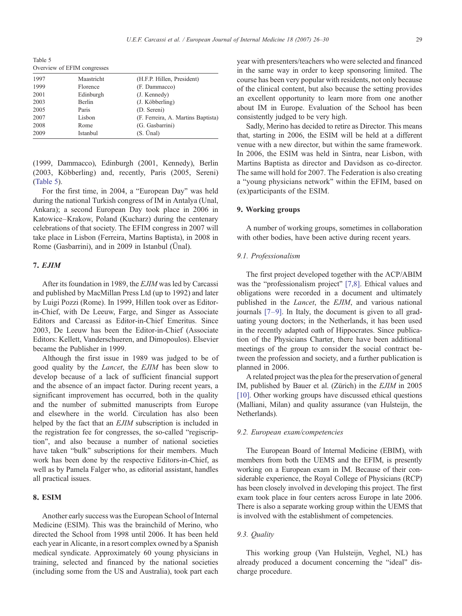<span id="page-3-0"></span>Table 5 Overview of EFIM congresses

| 1997 | Maastricht | (H.F.P. Hillen, President)         |
|------|------------|------------------------------------|
| 1999 | Florence   | (F. Dammacco)                      |
| 2001 | Edinburgh  | (J. Kennedy)                       |
| 2003 | Berlin     | (J. Köbberling)                    |
| 2005 | Paris      | (D. Sereni)                        |
| 2007 | Lisbon     | (F. Ferreira, A. Martins Baptista) |
| 2008 | Rome       | (G. Gasbarrini)                    |
| 2009 | Istanbul   | $(S.$ Unal $)$                     |

(1999, Dammacco), Edinburgh (2001, Kennedy), Berlin (2003, Köbberling) and, recently, Paris (2005, Sereni) (Table 5).

For the first time, in 2004, a "European Day" was held during the national Turkish congress of IM in Antalya (Unal, Ankara); a second European Day took place in 2006 in Katowice–Krakow, Poland (Kucharz) during the centenary celebrations of that society. The EFIM congress in 2007 will take place in Lisbon (Ferreira, Martins Baptista), in 2008 in Rome (Gasbarrini), and in 2009 in Istanbul (Ünal).

## 7. EJIM

After its foundation in 1989, the EJIM was led by Carcassi and published by MacMillan Press Ltd (up to 1992) and later by Luigi Pozzi (Rome). In 1999, Hillen took over as Editorin-Chief, with De Leeuw, Farge, and Singer as Associate Editors and Carcassi as Editor-in-Chief Emeritus. Since 2003, De Leeuw has been the Editor-in-Chief (Associate Editors: Kellett, Vanderschueren, and Dimopoulos). Elsevier became the Publisher in 1999.

Although the first issue in 1989 was judged to be of good quality by the Lancet, the EJIM has been slow to develop because of a lack of sufficient financial support and the absence of an impact factor. During recent years, a significant improvement has occurred, both in the quality and the number of submitted manuscripts from Europe and elsewhere in the world. Circulation has also been helped by the fact that an  $EJIM$  subscription is included in the registration fee for congresses, the so-called "regiscription", and also because a number of national societies have taken "bulk" subscriptions for their members. Much work has been done by the respective Editors-in-Chief, as well as by Pamela Falger who, as editorial assistant, handles all practical issues.

# 8. ESIM

Another early success was the European School of Internal Medicine (ESIM). This was the brainchild of Merino, who directed the School from 1998 until 2006. It has been held each year in Alicante, in a resort complex owned by a Spanish medical syndicate. Approximately 60 young physicians in training, selected and financed by the national societies (including some from the US and Australia), took part each year with presenters/teachers who were selected and financed in the same way in order to keep sponsoring limited. The course has been very popular with residents, not only because of the clinical content, but also because the setting provides an excellent opportunity to learn more from one another about IM in Europe. Evaluation of the School has been consistently judged to be very high.

Sadly, Merino has decided to retire as Director. This means that, starting in 2006, the ESIM will be held at a different venue with a new director, but within the same framework. In 2006, the ESIM was held in Sintra, near Lisbon, with Martins Baptista as director and Davidson as co-director. The same will hold for 2007. The Federation is also creating a "young physicians network" within the EFIM, based on (ex)participants of the ESIM.

## 9. Working groups

A number of working groups, sometimes in collaboration with other bodies, have been active during recent years.

#### 9.1. Professionalism

The first project developed together with the ACP/ABIM was the "professionalism project" [\[7,8\]](#page-4-0). Ethical values and obligations were recorded in a document and ultimately published in the Lancet, the EJIM, and various national journals [\[7](#page-4-0)–9]. In Italy, the document is given to all graduating young doctors; in the Netherlands, it has been used in the recently adapted oath of Hippocrates. Since publication of the Physicians Charter, there have been additional meetings of the group to consider the social contract between the profession and society, and a further publication is planned in 2006.

A related project was the plea for the preservation of general IM, published by Bauer et al. (Zürich) in the EJIM in 2005 [\[10\].](#page-4-0) Other working groups have discussed ethical questions (Malliani, Milan) and quality assurance (van Hulsteijn, the Netherlands).

# 9.2. European exam/competencies

The European Board of Internal Medicine (EBIM), with members from both the UEMS and the EFIM, is presently working on a European exam in IM. Because of their considerable experience, the Royal College of Physicians (RCP) has been closely involved in developing this project. The first exam took place in four centers across Europe in late 2006. There is also a separate working group within the UEMS that is involved with the establishment of competencies.

## 9.3. Quality

This working group (Van Hulsteijn, Veghel, NL) has already produced a document concerning the "ideal" discharge procedure.